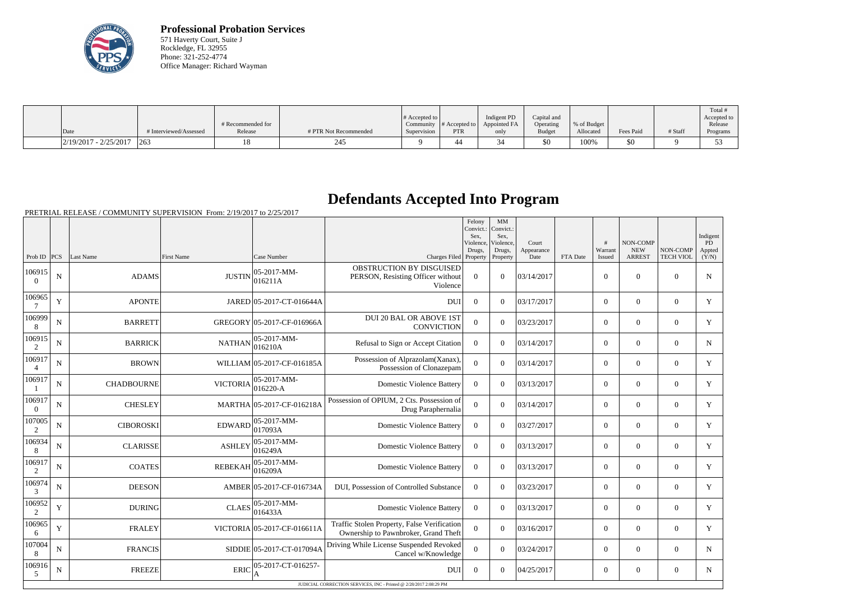

**Professional Probation Services** 571 Haverty Court, Suite J Rockledge, FL 32955 Phone: 321-252-4774 Office Manager: Richard Wayman

|                         |                      | # Recommended for |                       | # Accepted to  <br>Community | $\parallel$ # Accepted to $\parallel$ | Indigent PD<br>Appointed FA | Capital and<br>Operating | % of Budget |           |         | Total<br>Accepted to<br>Release |
|-------------------------|----------------------|-------------------|-----------------------|------------------------------|---------------------------------------|-----------------------------|--------------------------|-------------|-----------|---------|---------------------------------|
| Date                    | Interviewed/Assessed | Release           | # PTR Not Recommended | Supervision                  | <b>PTR</b>                            | only                        | Budget                   | Allocated   | Fees Paid | # Staff | Programs                        |
| $2/19/2017 - 2/25/2017$ | 263                  |                   | 245                   |                              | 44                                    |                             | \$0                      | 100%        | \$0       |         |                                 |

## **Defendants Accepted Into Program**

|                          |             |                   |                   |                              |                                                                                     | Felony<br>Convict.:<br>Sex.<br>Violence,<br>Drugs, | MM<br>Convict.:<br>Sex.<br>Violence,<br>Drugs, | Court<br>Appearance |          | #<br>Warrant   | <b>NON-COMP</b><br><b>NEW</b> | NON-COMP         | Indigent<br>PD<br>Appted |
|--------------------------|-------------|-------------------|-------------------|------------------------------|-------------------------------------------------------------------------------------|----------------------------------------------------|------------------------------------------------|---------------------|----------|----------------|-------------------------------|------------------|--------------------------|
| Prob ID                  | PCS         | Last Name         | <b>First Name</b> | Case Number                  | Charges Filed Property                                                              |                                                    | Property                                       | Date                | FTA Date | Issued         | <b>ARREST</b>                 | <b>TECH VIOL</b> | (Y/N)                    |
| 106915<br>$\theta$       | ${\bf N}$   | <b>ADAMS</b>      | <b>JUSTIN</b>     | 05-2017-MM-<br>016211A       | OBSTRUCTION BY DISGUISED<br>PERSON, Resisting Officer without<br>Violence           | $\overline{0}$                                     | $\theta$                                       | 03/14/2017          |          | $\mathbf{0}$   | $\theta$                      | $\overline{0}$   | $\mathbf N$              |
| 106965<br>7              | $\mathbf Y$ | <b>APONTE</b>     |                   | JARED 05-2017-CT-016644A     | <b>DUI</b>                                                                          | $\overline{0}$                                     | $\Omega$                                       | 03/17/2017          |          | $\overline{0}$ | $\mathbf{0}$                  | $\overline{0}$   | $\mathbf Y$              |
| 106999<br>8              | N           | <b>BARRETT</b>    |                   | GREGORY 05-2017-CF-016966A   | <b>DUI 20 BAL OR ABOVE 1ST</b><br><b>CONVICTION</b>                                 | $\Omega$                                           | $\theta$                                       | 03/23/2017          |          | $\overline{0}$ | $\theta$                      | $\overline{0}$   | Y                        |
| 106915<br>2              | N           | <b>BARRICK</b>    | <b>NATHAN</b>     | $05-2017-MM$ -<br>016210A    | Refusal to Sign or Accept Citation                                                  | $\theta$                                           | $\theta$                                       | 03/14/2017          |          | $\theta$       | $\theta$                      | $\theta$         | $\mathbf N$              |
| 106917<br>$\overline{4}$ | N           | <b>BROWN</b>      |                   | WILLIAM 05-2017-CF-016185A   | Possession of Alprazolam(Xanax),<br>Possession of Clonazepam                        | $\theta$                                           | $\Omega$                                       | 03/14/2017          |          | $\theta$       | $\Omega$                      | $\Omega$         | Y                        |
| 106917                   | N           | <b>CHADBOURNE</b> | <b>VICTORIA</b>   | $05-2017-MM$ -<br>$016220-A$ | <b>Domestic Violence Battery</b>                                                    | $\theta$                                           | $\theta$                                       | 03/13/2017          |          | $\theta$       | $\theta$                      | $\overline{0}$   | Y                        |
| 106917<br>$\Omega$       | ${\bf N}$   | <b>CHESLEY</b>    |                   | MARTHA 05-2017-CF-016218A    | Possession of OPIUM, 2 Cts. Possession of<br>Drug Paraphernalia                     | $\Omega$                                           | $\Omega$                                       | 03/14/2017          |          | $\theta$       | $\theta$                      | $\overline{0}$   | Y                        |
| 107005<br>2              | N           | <b>CIBOROSKI</b>  | <b>EDWARD</b>     | $05-2017-MM$ -<br>017093A    | <b>Domestic Violence Battery</b>                                                    | $\Omega$                                           | $\Omega$                                       | 03/27/2017          |          | $\overline{0}$ | $\mathbf{0}$                  | $\mathbf{0}$     | Y                        |
| 106934<br>8              | $\mathbf N$ | <b>CLARISSE</b>   | <b>ASHLEY</b>     | 05-2017-MM-<br>016249A       | <b>Domestic Violence Battery</b>                                                    | $\overline{0}$                                     | $\theta$                                       | 03/13/2017          |          | $\mathbf{0}$   | $\mathbf{0}$                  | $\mathbf{0}$     | $\mathbf Y$              |
| 106917<br>2              | ${\bf N}$   | <b>COATES</b>     | <b>REBEKAH</b>    | 05-2017-MM-<br>016209A       | <b>Domestic Violence Battery</b>                                                    | $\mathbf{0}$                                       | $\Omega$                                       | 03/13/2017          |          | $\mathbf{0}$   | $\mathbf{0}$                  | $\mathbf{0}$     | Y                        |
| 106974<br>3              | N           | <b>DEESON</b>     |                   | AMBER 05-2017-CF-016734A     | DUI, Possession of Controlled Substance                                             | $\Omega$                                           | $\Omega$                                       | 03/23/2017          |          | $\overline{0}$ | $\theta$                      | $\theta$         | Y                        |
| 106952<br>2              | Y           | <b>DURING</b>     | <b>CLAES</b>      | $05-2017-MM$ -<br>016433A    | <b>Domestic Violence Battery</b>                                                    | $\theta$                                           | $\Omega$                                       | 03/13/2017          |          | $\theta$       | $\theta$                      | $\theta$         | Y                        |
| 106965<br>6              | Y           | <b>FRALEY</b>     |                   | VICTORIA 05-2017-CF-016611A  | Traffic Stolen Property, False Verification<br>Ownership to Pawnbroker, Grand Theft | $\overline{0}$                                     | $\Omega$                                       | 03/16/2017          |          | $\theta$       | $\theta$                      | $\overline{0}$   | Y                        |
| 107004<br>8              | N           | <b>FRANCIS</b>    |                   | SIDDIE 05-2017-CT-017094A    | Driving While License Suspended Revoked<br>Cancel w/Knowledge                       | $\overline{0}$                                     | $\Omega$                                       | 03/24/2017          |          | $\overline{0}$ | $\theta$                      | $\overline{0}$   | $\mathbf N$              |
| 106916<br>5              | ${\bf N}$   | <b>FREEZE</b>     | <b>ERIC</b>       | 05-2017-CT-016257-           | <b>DUI</b>                                                                          | $\overline{0}$                                     | $\Omega$                                       | 04/25/2017          |          | $\overline{0}$ | $\overline{0}$                | $\overline{0}$   | $\mathbf N$              |
|                          |             |                   |                   |                              | JUDICIAL CORRECTION SERVICES, INC - Printed @ 2/28/2017 2:08:29 PM                  |                                                    |                                                |                     |          |                |                               |                  |                          |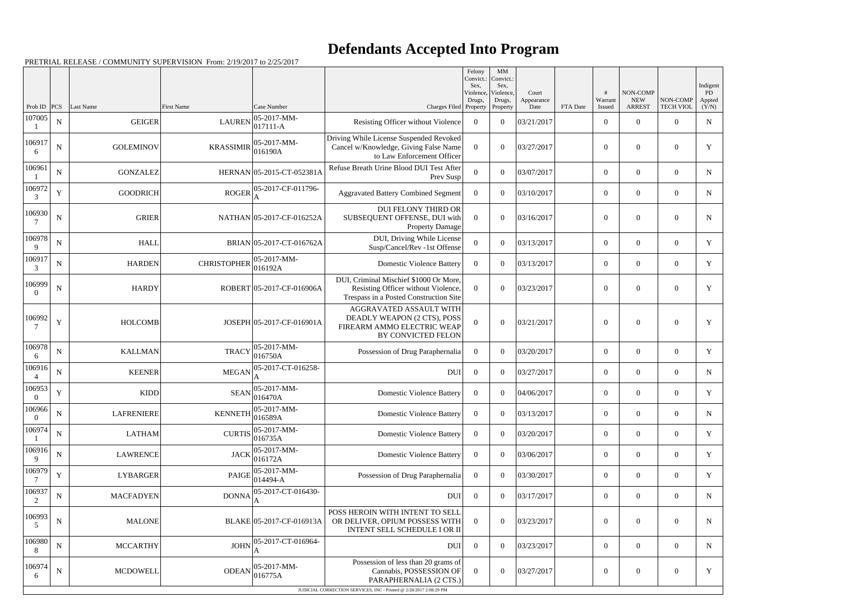## **Defendants Accepted Into Program**

|                          |                  |                            |                             |                                                            |                                                                                                                         | Felony<br>Convict.:<br>Sex,<br>Violence,<br>Drugs, | $\mathbf{M}\mathbf{M}$<br>Convict.:<br>Sex,<br>Violence,<br>Drugs, | Court<br>Appearance |          | #<br>Warrant             | NON-COMP<br><b>NEW</b>    | NON-COMP                           | Indigent<br>PD<br>Appted |
|--------------------------|------------------|----------------------------|-----------------------------|------------------------------------------------------------|-------------------------------------------------------------------------------------------------------------------------|----------------------------------------------------|--------------------------------------------------------------------|---------------------|----------|--------------------------|---------------------------|------------------------------------|--------------------------|
| Prob ID<br>107005        | PCS<br>${\bf N}$ | Last Name<br><b>GEIGER</b> | First Name<br><b>LAUREN</b> | Case Number<br>$ 05 - 2017 - MM -$                         | Charges Filed Property<br>Resisting Officer without Violence                                                            | $\overline{0}$                                     | Property<br>$\theta$                                               | Date<br>03/21/2017  | FTA Date | Issued<br>$\overline{0}$ | <b>ARREST</b><br>$\Omega$ | <b>TECH VIOL</b><br>$\overline{0}$ | (Y/N)<br>${\bf N}$       |
| 106917<br>6              | ${\bf N}$        | <b>GOLEMINOV</b>           | <b>KRASSIMIR</b>            | $ 017111 - A$<br>$ 05-2017-MM-$<br>016190A                 | Driving While License Suspended Revoked<br>Cancel w/Knowledge, Giving False Name<br>to Law Enforcement Officer          | $\Omega$                                           | $\Omega$                                                           | 03/27/2017          |          | $\overline{0}$           | $\Omega$                  | $\overline{0}$                     | Y                        |
| 106961                   | $\mathbf N$      | <b>GONZALEZ</b>            |                             | HERNAN 05-2015-CT-052381A                                  | Refuse Breath Urine Blood DUI Test After<br>Prev Susp                                                                   | $\theta$                                           | $\Omega$                                                           | 03/07/2017          |          | $\theta$                 | $\theta$                  | $\overline{0}$                     | N                        |
| 106972<br>3              | $\mathbf Y$      | <b>GOODRICH</b>            | <b>ROGER</b>                | 05-2017-CF-011796-                                         | <b>Aggravated Battery Combined Segment</b>                                                                              | $\overline{0}$                                     | $\Omega$                                                           | 03/10/2017          |          | $\boldsymbol{0}$         | $\overline{0}$            | $\overline{0}$                     | N                        |
| 106930<br>7              | ${\bf N}$        | <b>GRIER</b>               |                             | NATHAN 05-2017-CF-016252A                                  | <b>DUI FELONY THIRD OR</b><br>SUBSEQUENT OFFENSE, DUI with<br><b>Property Damage</b>                                    | $\theta$                                           | $\theta$                                                           | 03/16/2017          |          | $\theta$                 | $\overline{0}$            | $\overline{0}$                     | $\mathbf N$              |
| 106978<br>$\mathbf Q$    | N                | <b>HALL</b>                |                             | BRIAN 05-2017-CT-016762A                                   | DUI, Driving While License<br>Susp/Cancel/Rev -1st Offense                                                              | $\theta$                                           | $\theta$                                                           | 03/13/2017          |          | $\overline{0}$           | $\overline{0}$            | $\overline{0}$                     | Y                        |
| 106917<br>3              | $\mathbf N$      | <b>HARDEN</b>              | <b>CHRISTOPHER</b>          | 05-2017-MM-<br>016192A                                     | <b>Domestic Violence Battery</b>                                                                                        | $\overline{0}$                                     | $\Omega$                                                           | 03/13/2017          |          | $\overline{0}$           | $\overline{0}$            | $\overline{0}$                     | Y                        |
| 106999                   | N                | <b>HARDY</b>               |                             | ROBERT 05-2017-CF-016906A                                  | DUI, Criminal Mischief \$1000 Or More,<br>Resisting Officer without Violence,<br>Trespass in a Posted Construction Site | $\Omega$                                           | $\theta$                                                           | 03/23/2017          |          | $\overline{0}$           | $\Omega$                  | $\overline{0}$                     | Y                        |
| 106992                   | $\mathbf Y$      | <b>HOLCOMB</b>             |                             | JOSEPH 05-2017-CF-016901A                                  | AGGRAVATED ASSAULT WITH<br>DEADLY WEAPON (2 CTS), POSS<br>FIREARM AMMO ELECTRIC WEAP<br><b>BY CONVICTED FELON</b>       | $\theta$                                           | $\theta$                                                           | 03/21/2017          |          | $\theta$                 | $\Omega$                  | $\overline{0}$                     | Y                        |
| 106978                   | N                | <b>KALLMAN</b>             | <b>TRACY</b>                | 05-2017-MM-<br>016750A                                     | Possession of Drug Paraphernalia                                                                                        | $\overline{0}$                                     | $\theta$                                                           | 03/20/2017          |          | $\overline{0}$           | $\Omega$                  | $\overline{0}$                     | Y                        |
| 106916                   | N                | <b>KEENER</b>              | <b>MEGAN</b>                | 05-2017-CT-016258-<br>A                                    | <b>DUI</b>                                                                                                              | $\overline{0}$                                     | $\theta$                                                           | 03/27/2017          |          | $\boldsymbol{0}$         | $\overline{0}$            | $\overline{0}$                     | $\mathbf N$              |
| 106953<br>0              | Y                | <b>KIDD</b>                | <b>SEAN</b>                 | $ 05-2017-MM-$<br> 016470A                                 | <b>Domestic Violence Battery</b>                                                                                        | $\overline{0}$                                     | $\overline{0}$                                                     | 04/06/2017          |          | $\overline{0}$           | $\overline{0}$            | $\overline{0}$                     | Y                        |
| 106966<br>$\overline{0}$ | $\mathbf N$      | LAFRENIERE                 |                             | KENNETH $\begin{array}{ l} 05-2017-MM-016589A \end{array}$ | <b>Domestic Violence Battery</b>                                                                                        | $\overline{0}$                                     | $\theta$                                                           | 03/13/2017          |          | $\boldsymbol{0}$         | $\boldsymbol{0}$          | $\overline{0}$                     | N                        |
| 106974                   | $\mathbf N$      | <b>LATHAM</b>              | <b>CURTIS</b>               | $ 05-2017-MM-$<br>016735A                                  | <b>Domestic Violence Battery</b>                                                                                        | $\overline{0}$                                     | $\theta$                                                           | 03/20/2017          |          | $\boldsymbol{0}$         | $\overline{0}$            | $\overline{0}$                     | Y                        |
| 106916<br>9              | N                | <b>LAWRENCE</b>            | <b>JACK</b>                 | 05-2017-MM-<br>016172A                                     | <b>Domestic Violence Battery</b>                                                                                        | $\overline{0}$                                     | $\theta$                                                           | 03/06/2017          |          | $\overline{0}$           | $\overline{0}$            | $\overline{0}$                     | Y                        |
| 106979                   | Y                | <b>LYBARGER</b>            | <b>PAIGE</b>                | 05-2017-MM-<br>$ 014494-A$                                 | Possession of Drug Paraphernalia                                                                                        | $\overline{0}$                                     | $\theta$                                                           | 03/30/2017          |          | $\overline{0}$           | $\overline{0}$            | $\overline{0}$                     | Y                        |
| 106937<br>2              | N                | <b>MACFADYEN</b>           | <b>DONNA</b>                | 05-2017-CT-016430-<br>A                                    | <b>DUI</b>                                                                                                              | $\overline{0}$                                     | $\theta$                                                           | 03/17/2017          |          | $\boldsymbol{0}$         | $\overline{0}$            | $\overline{0}$                     | N                        |
| 106993<br>5              | ${\bf N}$        | <b>MALONE</b>              |                             | BLAKE 05-2017-CF-016913A                                   | POSS HEROIN WITH INTENT TO SELL<br>OR DELIVER, OPIUM POSSESS WITH<br>INTENT SELL SCHEDULE I OR II                       | $\theta$                                           | $\theta$                                                           | 03/23/2017          |          | $\overline{0}$           | $\overline{0}$            | $\overline{0}$                     | N                        |
| 106980<br>8              | N                | <b>MCCARTHY</b>            | <b>JOHN</b>                 | 05-2017-CT-016964-                                         | <b>DUI</b>                                                                                                              | $\overline{0}$                                     | $\theta$                                                           | 03/23/2017          |          | $\overline{0}$           | $\overline{0}$            | $\overline{0}$                     | N                        |
| 106974<br>6              | ${\bf N}$        | <b>MCDOWELL</b>            | <b>ODEAN</b>                | $ 05-2017-MM-$<br>016775A                                  | Possession of less than 20 grams of<br>Cannabis, POSSESSION OF<br>PARAPHERNALIA (2 CTS.)                                | $\overline{0}$                                     | $\boldsymbol{0}$                                                   | 03/27/2017          |          | $\overline{0}$           | $\overline{0}$            | $\overline{0}$                     | Y                        |
|                          |                  |                            |                             |                                                            | JUDICIAL CORRECTION SERVICES, INC - Printed @ 2/28/2017 2:08:29 PM                                                      |                                                    |                                                                    |                     |          |                          |                           |                                    |                          |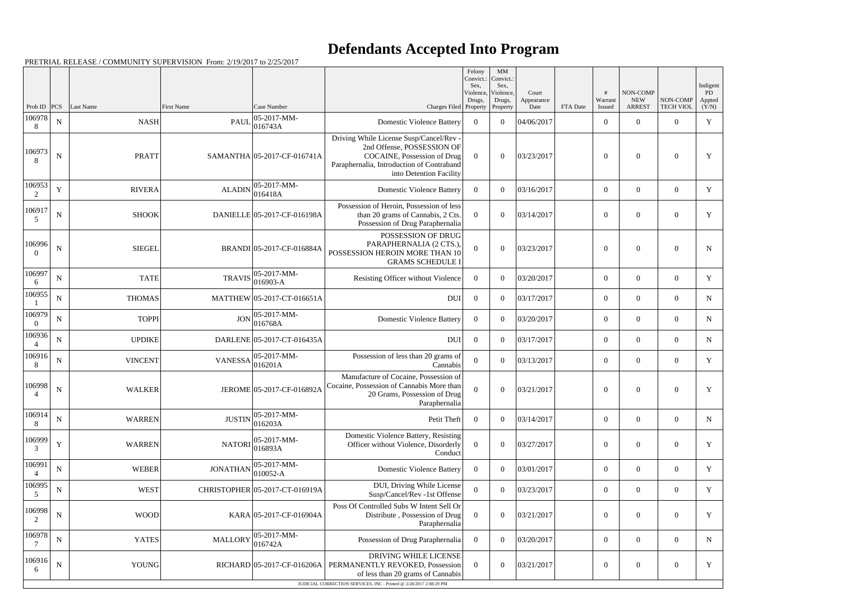## **Defendants Accepted Into Program**

| Prob ID<br>106978        | PCS<br>${\bf N}$ | Last Name      | First Name                                                   | Case Number                                   | Charges Filed Property                                                                                                                                                                           | Violence,<br>Drugs, | Violence,<br>Drugs,<br>Property | Court<br>Appearance<br>Date | FTA Date | #<br>Warrant<br>Issued | NON-COMP<br><b>NEW</b><br><b>ARREST</b> | NON-COMP<br><b>TECH VIOL</b> | Indigent<br>PD<br>Appted<br>(Y/N) |
|--------------------------|------------------|----------------|--------------------------------------------------------------|-----------------------------------------------|--------------------------------------------------------------------------------------------------------------------------------------------------------------------------------------------------|---------------------|---------------------------------|-----------------------------|----------|------------------------|-----------------------------------------|------------------------------|-----------------------------------|
| 8                        |                  | <b>NASH</b>    |                                                              | $ 05-2017-MM-$<br>$PAUL\vert_{016743A}^{000}$ | <b>Domestic Violence Battery</b>                                                                                                                                                                 | $\overline{0}$      | $\theta$                        | 04/06/2017                  |          | $\overline{0}$         | $\theta$                                | $\overline{0}$               | $\mathbf Y$                       |
| 106973<br>8              | $\mathbf N$      | <b>PRATT</b>   |                                                              | SAMANTHA 05-2017-CF-016741A                   | Driving While License Susp/Cancel/Rev -<br>2nd Offense, POSSESSION OF<br>COCAINE, Possession of Drug<br>Paraphernalia, Introduction of Contraband<br>into Detention Facility                     | $\theta$            | $\Omega$                        | 03/23/2017                  |          | $\theta$               | $\theta$                                | $\overline{0}$               | Y                                 |
| 106953<br>2              | Y                | <b>RIVERA</b>  | <b>ALADIN</b>                                                | 05-2017-MM-<br> 016418A                       | <b>Domestic Violence Battery</b>                                                                                                                                                                 | $\overline{0}$      | $\theta$                        | 03/16/2017                  |          | $\boldsymbol{0}$       | $\overline{0}$                          | $\overline{0}$               | $\mathbf Y$                       |
| 106917<br>5              | $\mathbf N$      | <b>SHOOK</b>   |                                                              | DANIELLE 05-2017-CF-016198A                   | Possession of Heroin, Possession of less<br>than 20 grams of Cannabis, 2 Cts.<br>Possession of Drug Paraphernalia                                                                                | $\Omega$            | $\Omega$                        | 03/14/2017                  |          | $\theta$               | $\Omega$                                | $\overline{0}$               | Y                                 |
| 106996<br>$\Omega$       | N                | <b>SIEGEL</b>  |                                                              | BRANDI 05-2017-CF-016884A                     | POSSESSION OF DRUG<br>PARAPHERNALIA (2 CTS.),<br>POSSESSION HEROIN MORE THAN 10<br><b>GRAMS SCHEDULE I</b>                                                                                       | $\theta$            | $\Omega$                        | 03/23/2017                  |          | $\theta$               | $\Omega$                                | $\overline{0}$               | $\mathbf N$                       |
| 106997<br>6              | ${\bf N}$        | <b>TATE</b>    | <b>TRAVIS</b>                                                | $ 05-2017-MM-$<br>$ 016903 - A$               | Resisting Officer without Violence                                                                                                                                                               | $\overline{0}$      | $\Omega$                        | 03/20/2017                  |          | $\overline{0}$         | $\Omega$                                | $\overline{0}$               | Y                                 |
| 106955                   | ${\bf N}$        | <b>THOMAS</b>  |                                                              | MATTHEW 05-2017-CT-016651A                    | <b>DUI</b>                                                                                                                                                                                       | $\theta$            | $\Omega$                        | 03/17/2017                  |          | $\Omega$               | $\theta$                                | $\overline{0}$               | $\mathbf N$                       |
| 106979<br>$\Omega$       | ${\bf N}$        | <b>TOPPI</b>   | <b>JON</b>                                                   | $ 05-2017-MM-$<br> 016768A                    | <b>Domestic Violence Battery</b>                                                                                                                                                                 | $\overline{0}$      | $\Omega$                        | 03/20/2017                  |          | $\Omega$               | $\theta$                                | $\overline{0}$               | $\mathbf N$                       |
| 106936                   | ${\bf N}$        | <b>UPDIKE</b>  |                                                              | DARLENE 05-2017-CT-016435A                    | <b>DUI</b>                                                                                                                                                                                       | $\overline{0}$      | $\theta$                        | 03/17/2017                  |          | $\overline{0}$         | $\overline{0}$                          | $\overline{0}$               | ${\bf N}$                         |
| 106916<br>8              | $\mathbf N$      | <b>VINCENT</b> | VANESSA $\begin{bmatrix} 0 & -1 \\ 0 & 16201A \end{bmatrix}$ | $ 05-2017-MM-$                                | Possession of less than 20 grams of<br>Cannabis                                                                                                                                                  | $\overline{0}$      | $\Omega$                        | 03/13/2017                  |          | $\overline{0}$         | $\theta$                                | $\overline{0}$               | Y                                 |
| 106998<br>$\overline{4}$ | $\mathbf N$      | <b>WALKER</b>  |                                                              | JEROME 05-2017-CF-016892A                     | Manufacture of Cocaine, Possession of<br>Cocaine, Possession of Cannabis More than<br>20 Grams, Possession of Drug<br>Paraphernalia                                                              | $\overline{0}$      | $\Omega$                        | 03/21/2017                  |          | $\overline{0}$         | $\theta$                                | $\overline{0}$               | Y                                 |
| 106914<br>8              | ${\bf N}$        | <b>WARREN</b>  | <b>JUSTIN</b>                                                | $ 05-2017-MM-$<br>016203A                     | Petit Theft                                                                                                                                                                                      | $\overline{0}$      | $\theta$                        | 03/14/2017                  |          | $\boldsymbol{0}$       | $\overline{0}$                          | $\mathbf{0}$                 | $\mathbf N$                       |
| 106999<br>3              | $\mathbf Y$      | <b>WARREN</b>  | <b>NATORI</b>                                                | $ 05-2017-MM-$<br> 016893A                    | Domestic Violence Battery, Resisting<br>Officer without Violence, Disorderly<br>Conduct                                                                                                          | $\overline{0}$      | $\Omega$                        | 03/27/2017                  |          | $\boldsymbol{0}$       | $\boldsymbol{0}$                        | $\boldsymbol{0}$             | Y                                 |
| 106991<br>$\overline{4}$ | ${\bf N}$        | <b>WEBER</b>   | <b>JONATHAN</b>                                              | $ 05-2017-MM-$<br>$ 010052-A$                 | <b>Domestic Violence Battery</b>                                                                                                                                                                 | $\boldsymbol{0}$    | $\overline{0}$                  | 03/01/2017                  |          | $\overline{0}$         | $\overline{0}$                          | $\overline{0}$               | Y                                 |
| 106995<br>5              | $\mathbf N$      | <b>WEST</b>    |                                                              | CHRISTOPHER 05-2017-CT-016919A                | DUI, Driving While License<br>Susp/Cancel/Rev -1st Offense                                                                                                                                       | $\mathbf{0}$        | $\theta$                        | 03/23/2017                  |          | $\overline{0}$         | $\overline{0}$                          | $\overline{0}$               | Y                                 |
| 106998<br>$\overline{2}$ | ${\bf N}$        | <b>WOOD</b>    |                                                              | KARA 05-2017-CF-016904A                       | Poss Of Controlled Subs W Intent Sell Or<br>Distribute, Possession of Drug<br>Paraphernalia                                                                                                      | $\mathbf{0}$        | $\overline{0}$                  | 03/21/2017                  |          | $\boldsymbol{0}$       | $\overline{0}$                          | $\overline{0}$               | Y                                 |
| 106978                   | $\mathbf N$      | <b>YATES</b>   |                                                              | $MALLORY$ $ 05-2017-MM-$<br>016742A           | Possession of Drug Paraphernalia                                                                                                                                                                 | $\overline{0}$      | $\overline{0}$                  | 03/20/2017                  |          | $\overline{0}$         | $\overline{0}$                          | $\overline{0}$               | $\mathbf N$                       |
| 106916<br>6              | $\mathbf N$      | <b>YOUNG</b>   |                                                              |                                               | DRIVING WHILE LICENSE<br>RICHARD 05-2017-CF-016206A   PERMANENTLY REVOKED, Possession<br>of less than 20 grams of Cannabis<br>JUDICIAL CORRECTION SERVICES, INC - Printed @ 2/28/2017 2:08:29 PM | $\overline{0}$      | $\overline{0}$                  | 03/21/2017                  |          | $\boldsymbol{0}$       | $\overline{0}$                          | $\boldsymbol{0}$             | Y                                 |